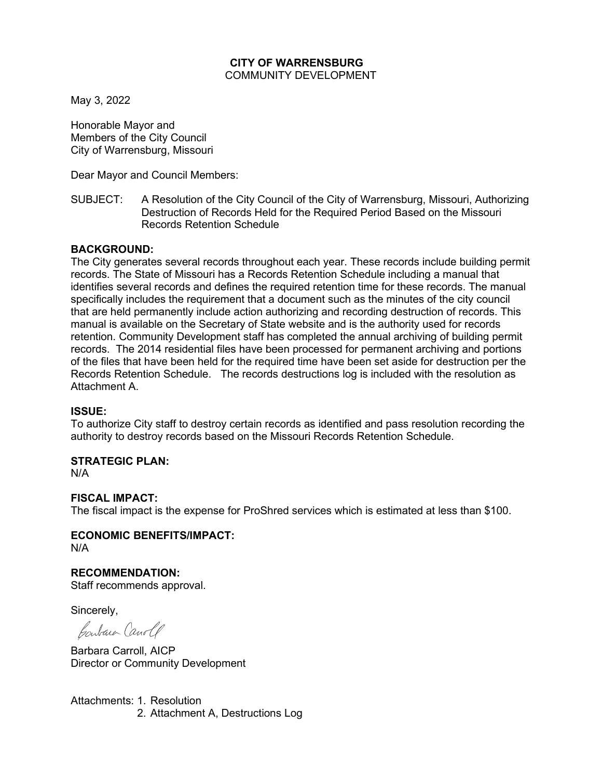### **CITY OF WARRENSBURG** COMMUNITY DEVELOPMENT

May 3, 2022

Honorable Mayor and Members of the City Council City of Warrensburg, Missouri

Dear Mayor and Council Members:

SUBJECT: A Resolution of the City Council of the City of Warrensburg, Missouri, Authorizing Destruction of Records Held for the Required Period Based on the Missouri Records Retention Schedule

# **BACKGROUND:**

The City generates several records throughout each year. These records include building permit records. The State of Missouri has a Records Retention Schedule including a manual that identifies several records and defines the required retention time for these records. The manual specifically includes the requirement that a document such as the minutes of the city council that are held permanently include action authorizing and recording destruction of records. This manual is available on the Secretary of State website and is the authority used for records retention. Community Development staff has completed the annual archiving of building permit records. The 2014 residential files have been processed for permanent archiving and portions of the files that have been held for the required time have been set aside for destruction per the Records Retention Schedule. The records destructions log is included with the resolution as Attachment A.

### **ISSUE:**

To authorize City staff to destroy certain records as identified and pass resolution recording the authority to destroy records based on the Missouri Records Retention Schedule.

### **STRATEGIC PLAN:**

N/A

### **FISCAL IMPACT:**

The fiscal impact is the expense for ProShred services which is estimated at less than \$100.

# **ECONOMIC BENEFITS/IMPACT:**

N/A

# **RECOMMENDATION:**

Staff recommends approval.

Sincerely,

Contain Canole

Barbara Carroll, AICP Director or Community Development

Attachments: 1. Resolution 2. Attachment A, Destructions Log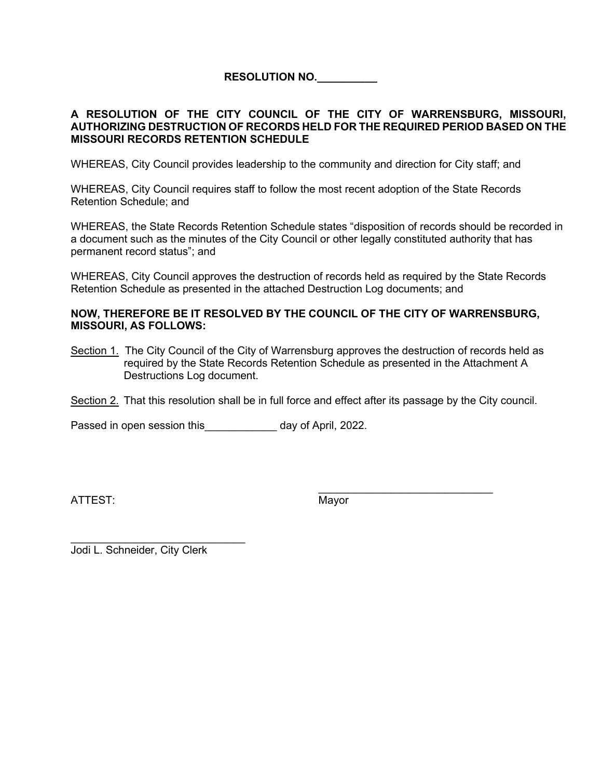**RESOLUTION NO.\_\_\_\_\_\_\_\_\_\_**

# **A RESOLUTION OF THE CITY COUNCIL OF THE CITY OF WARRENSBURG, MISSOURI, AUTHORIZING DESTRUCTION OF RECORDS HELD FOR THE REQUIRED PERIOD BASED ON THE MISSOURI RECORDS RETENTION SCHEDULE**

WHEREAS, City Council provides leadership to the community and direction for City staff; and

WHEREAS, City Council requires staff to follow the most recent adoption of the State Records Retention Schedule; and

WHEREAS, the State Records Retention Schedule states "disposition of records should be recorded in a document such as the minutes of the City Council or other legally constituted authority that has permanent record status"; and

WHEREAS, City Council approves the destruction of records held as required by the State Records Retention Schedule as presented in the attached Destruction Log documents; and

### **NOW, THEREFORE BE IT RESOLVED BY THE COUNCIL OF THE CITY OF WARRENSBURG, MISSOURI, AS FOLLOWS:**

Section 1. The City Council of the City of Warrensburg approves the destruction of records held as required by the State Records Retention Schedule as presented in the Attachment A Destructions Log document.

Section 2. That this resolution shall be in full force and effect after its passage by the City council.

Passed in open session this Theorem 2022.

ATTEST: Mayor

\_\_\_\_\_\_\_\_\_\_\_\_\_\_\_\_\_\_\_\_\_\_\_\_\_\_\_\_\_

Jodi L. Schneider, City Clerk

\_\_\_\_\_\_\_\_\_\_\_\_\_\_\_\_\_\_\_\_\_\_\_\_\_\_\_\_\_